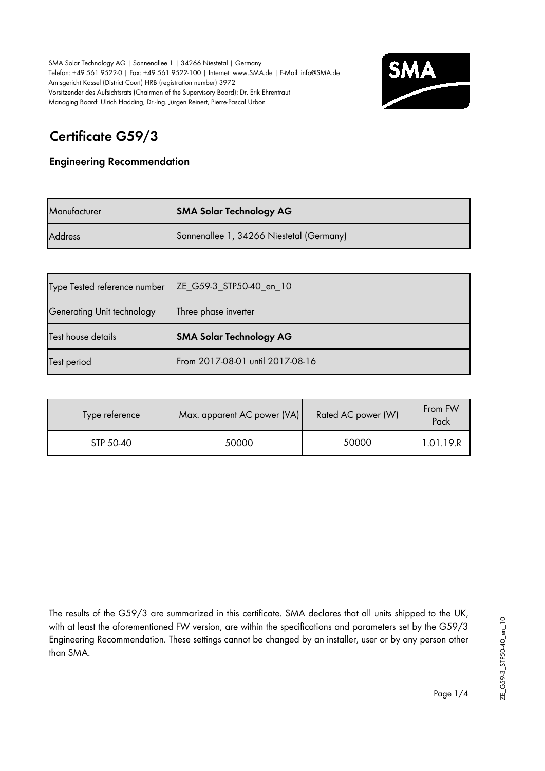

# **Certificate G59/3**

### **Engineering Recommendation**

| Manufacturer   | <b>SMA Solar Technology AG</b>           |
|----------------|------------------------------------------|
| <b>Address</b> | Sonnenallee 1, 34266 Niestetal (Germany) |

| Type Tested reference number | ZE_G59-3_STP50-40_en_10        |
|------------------------------|--------------------------------|
| Generating Unit technology   | Three phase inverter           |
|                              |                                |
| Test house details           | <b>SMA Solar Technology AG</b> |

| Type reference | Max. apparent AC power (VA) | Rated AC power (W) | From FW<br>Pack |
|----------------|-----------------------------|--------------------|-----------------|
| STP 50-40      | 50000                       | 50000              | 1.01.19.R       |

The results of the G59/3 are summarized in this certificate. SMA declares that all units shipped to the UK, with at least the aforementioned FW version, are within the specifications and parameters set by the G59/3 Engineering Recommendation. These settings cannot be changed by an installer, user or by any person other than SMA.

Page 1/4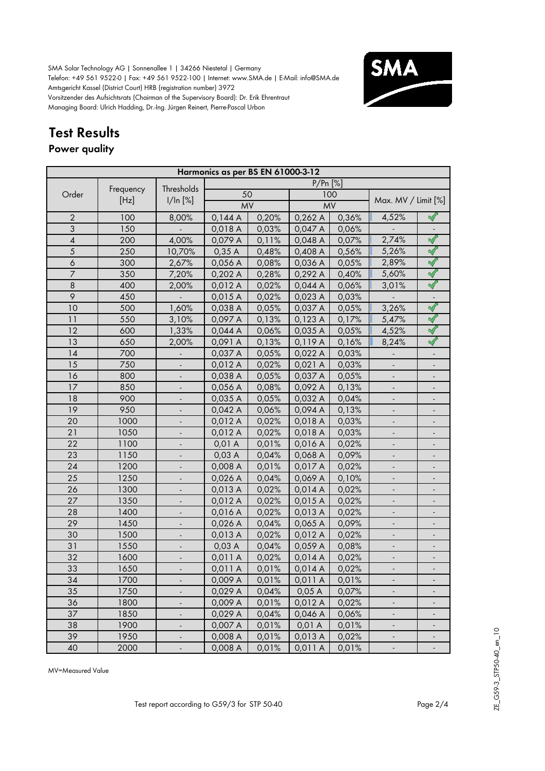

# **Test Results**

### **Power quality**

|                  | Harmonics as per BS EN 61000-3-12 |                          |           |       |            |       |                          |                              |  |  |
|------------------|-----------------------------------|--------------------------|-----------|-------|------------|-------|--------------------------|------------------------------|--|--|
|                  |                                   | Thresholds               |           |       | $P/Pr$ [%] |       |                          |                              |  |  |
| Order            | Frequency                         |                          | 50        |       |            | 100   |                          |                              |  |  |
|                  | [Hz]                              | 1/ln [%]                 | <b>MV</b> |       | <b>MV</b>  |       | Max. MV / Limit [%]      |                              |  |  |
| $\overline{2}$   | 100                               | 8,00%                    | 0,144A    | 0,20% | 0,262 A    | 0,36% | 4,52%                    |                              |  |  |
| 3                | 150                               |                          | 0,018 A   | 0,03% | 0,047 A    | 0,06% |                          |                              |  |  |
| $\overline{4}$   | 200                               | 4,00%                    | 0,079 A   | 0,11% | 0,048 A    | 0,07% | 2,74%                    | $\sqrt{}$                    |  |  |
| $\overline{5}$   | 250                               | 10,70%                   | 0,35A     | 0,48% | 0,408 A    | 0,56% | 5,26%                    | $\blacktriangleleft$         |  |  |
| $\boldsymbol{6}$ | 300                               | 2,67%                    | 0,056 A   | 0,08% | 0,036 A    | 0,05% | 2,89%                    | $\prec$                      |  |  |
| $\overline{7}$   | 350                               | 7,20%                    | 0,202 A   | 0,28% | 0,292 A    | 0,40% | 5,60%                    | $\blacktriangleleft$         |  |  |
| $\,8\,$          | 400                               | 2,00%                    | 0,012 A   | 0,02% | 0,044A     | 0,06% | 3,01%                    | $\checkmark$                 |  |  |
| 9                | 450                               |                          | 0,015A    | 0,02% | 0,023 A    | 0,03% |                          |                              |  |  |
| 10               | 500                               | 1,60%                    | 0,038 A   | 0,05% | 0,037 A    | 0,05% | 3,26%                    | $\prec$                      |  |  |
| 11               | 550                               | 3,10%                    | 0,097 A   | 0,13% | 0,123 A    | 0,17% | 5,47%                    | $\blacktriangleleft$         |  |  |
| 12               | 600                               | 1,33%                    | 0,044 A   | 0,06% | 0,035 A    | 0,05% | 4,52%                    | $\blacktriangleleft$         |  |  |
| 13               | 650                               | 2,00%                    | 0,091 A   | 0,13% | 0,119A     | 0,16% | 8,24%                    | $\blacktriangleleft$         |  |  |
| 14               | 700                               |                          | 0,037 A   | 0,05% | 0,022 A    | 0,03% |                          |                              |  |  |
| 15               | 750                               |                          | 0,012 A   | 0,02% | 0,021 A    | 0,03% |                          |                              |  |  |
| 16               | 800                               |                          | 0,038 A   | 0,05% | 0,037 A    | 0,05% |                          |                              |  |  |
| 17               | 850                               |                          | 0,056 A   | 0,08% | 0,092 A    | 0,13% |                          |                              |  |  |
| 18               | 900                               |                          | 0,035 A   | 0,05% | 0,032 A    | 0,04% |                          |                              |  |  |
| 19               | 950                               |                          | 0,042 A   | 0,06% | 0,094 A    | 0,13% |                          |                              |  |  |
| 20               | 1000                              |                          | 0,012 A   | 0,02% | 0,018 A    | 0,03% |                          |                              |  |  |
| 21               | 1050                              |                          | 0,012 A   | 0,02% | 0,018 A    | 0,03% |                          |                              |  |  |
| 22               | 1100                              |                          | 0,01 A    | 0,01% | 0,016 A    | 0,02% |                          |                              |  |  |
| 23               | 1150                              |                          | 0,03A     | 0,04% | 0,068 A    | 0,09% |                          |                              |  |  |
| 24               | 1200                              | $\overline{\phantom{a}}$ | 0,008 A   | 0,01% | 0,017 A    | 0,02% |                          | $\overline{\phantom{a}}$     |  |  |
| 25               | 1250                              |                          | 0,026 A   | 0,04% | 0,069 A    | 0,10% |                          |                              |  |  |
| 26               | 1300                              |                          | 0,013 A   | 0,02% | 0,014A     | 0,02% |                          | $\overline{\phantom{a}}$     |  |  |
| 27               | 1350                              | $\overline{\phantom{a}}$ | 0,012 A   | 0,02% | 0,015 A    | 0,02% | $\overline{\phantom{a}}$ | $\qquad \qquad \blacksquare$ |  |  |
| 28               | 1400                              | $\overline{\phantom{a}}$ | 0,016 A   | 0,02% | 0,013 A    | 0,02% | $\overline{\phantom{a}}$ | $\overline{a}$               |  |  |
| 29               | 1450                              |                          | 0,026 A   | 0,04% | 0,065 A    | 0,09% | $\frac{1}{2}$            | $\overline{a}$               |  |  |
| 30               | 1500                              |                          | 0,013 A   | 0,02% | 0,012 A    | 0,02% |                          |                              |  |  |
| 31               | 1550                              |                          | 0,03A     | 0,04% | 0,059 A    | 0,08% |                          |                              |  |  |
| 32               | 1600                              |                          | 0,011 A   | 0,02% | 0,014A     | 0,02% |                          |                              |  |  |
| 33               | 1650                              |                          | 0,011 A   | 0,01% | 0,014 A    | 0,02% |                          |                              |  |  |
| 34               | 1700                              |                          | 0,009 A   | 0,01% | 0,011 A    | 0,01% |                          |                              |  |  |
| 35               | 1750                              |                          | 0,029 A   | 0,04% | 0,05A      | 0,07% |                          |                              |  |  |
| 36               | 1800                              |                          | 0,009 A   | 0,01% | 0,012 A    | 0,02% |                          |                              |  |  |
| 37               | 1850                              |                          | 0,029 A   | 0,04% | 0,046 A    | 0,06% | $\overline{\phantom{a}}$ |                              |  |  |
| 38               | 1900                              |                          | 0,007 A   | 0,01% | 0,01A      | 0,01% | ÷                        |                              |  |  |
| 39               | 1950                              |                          | 0,008 A   | 0,01% | 0,013 A    | 0,02% | $\overline{\phantom{a}}$ | $\overline{\phantom{a}}$     |  |  |
| 40               | 2000                              | $\overline{\phantom{a}}$ | 0,008 A   | 0,01% | 0,011A     | 0,01% | ۳                        | $\qquad \qquad \blacksquare$ |  |  |

MV=Measured Value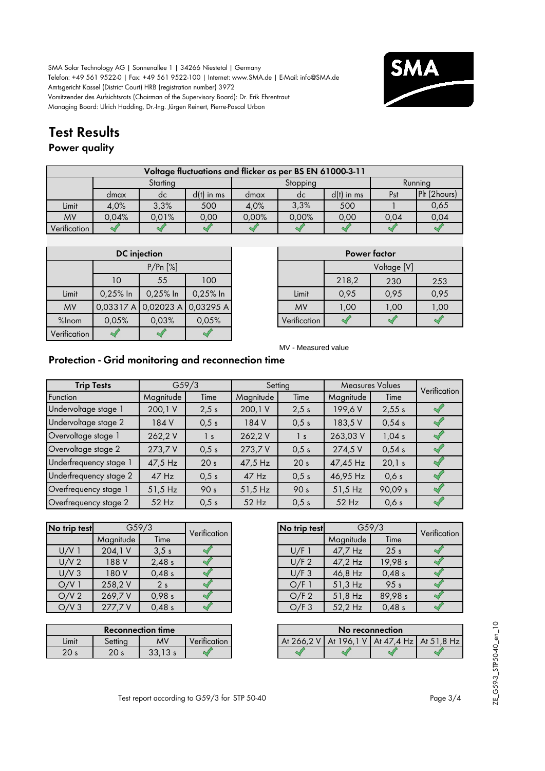

## **Test Results**

### **Power quality**

|              | Voltage fluctuations and flicker as per BS EN 61000-3-11 |          |              |       |          |              |      |              |  |  |  |  |
|--------------|----------------------------------------------------------|----------|--------------|-------|----------|--------------|------|--------------|--|--|--|--|
|              |                                                          | Starting |              |       | Stopping |              |      | Running      |  |  |  |  |
|              | dmax                                                     | dc       | $d(t)$ in ms | dmax  | dc       | $d(t)$ in ms | Pst  | Plt (2hours) |  |  |  |  |
| Limit        | 4.0%                                                     | 3.3%     | 500          | 4.0%  | 3,3%     | 500          |      | 0,65         |  |  |  |  |
| <b>MV</b>    | 0,04%                                                    | 0.01%    | 0.00         | 0.00% | 0,00%    | 0.00         | 0,04 | 0,04         |  |  |  |  |
| Verification |                                                          |          |              |       |          |              |      |              |  |  |  |  |

|              |          | <b>DC</b> injection |           |  |
|--------------|----------|---------------------|-----------|--|
|              | P/Pr[%]  |                     |           |  |
|              | 10       | 55                  | 100       |  |
| Limit        | 0,25% In | 0,25% In            | 0,25% In  |  |
| <b>MV</b>    |          | 0.03317A0.02023A    | 0,03295 A |  |
| %Inom        | 0,05%    | 0,03%               | 0,05%     |  |
| Verification |          |                     |           |  |

|       |            | <b>DC</b> injection           |            |              |       | Power factor |      |
|-------|------------|-------------------------------|------------|--------------|-------|--------------|------|
|       | P/Pr[%]    |                               |            |              |       | Voltage [V]  |      |
|       | 10         | 55                            | 100        |              | 218,2 | 230          | 253  |
| Limit | $0,25%$ In | $0,25%$ In                    | $0,25%$ In | Limit        | 0.95  | 0,95         | 0,95 |
| MV    |            | 0,03317 A 0,02023 A 0,03295 A |            | <b>MV</b>    | 1,00  | 1,00         | 1,00 |
| 5lnom | 0,05%      | 0.03%                         | 0,05%      | Verification |       |              |      |

MV - Measured value

### **Protection - Grid monitoring and reconnection time**

| <b>Trip Tests</b>      |           | G <sub>59/3</sub> |           | Setting         |           | <b>Measures Values</b> | Verification |
|------------------------|-----------|-------------------|-----------|-----------------|-----------|------------------------|--------------|
| Function               | Magnitude | Time              | Magnitude | Time            | Magnitude | Time                   |              |
| Undervoltage stage 1   | 200,1V    | 2,5 s             | 200,1V    | 2,5 s           | 199,6V    | 2,55s                  |              |
| Undervoltage stage 2   | 184 V     | 0,5 s             | 184 V     | 0.5 s           | 183,5 V   | 0,54s                  |              |
| Overvoltage stage 1    | 262,2V    | $\vert s \vert$   | 262,2V    | $\frac{1}{s}$   | 263,03 V  | 1,04s                  |              |
| Overvoltage stage 2    | 273,7V    | 0.5 s             | 273,7 V   | 0.5 s           | 274,5 V   | 0,54s                  |              |
| Underfrequency stage 1 | 47,5 Hz   | 20 <sub>s</sub>   | 47,5 Hz   | 20 <sub>s</sub> | 47,45 Hz  | 20,1 s                 |              |
| Underfrequency stage 2 | $47$ Hz   | 0,5 s             | $47$ Hz   | 0,5 s           | 46,95 Hz  | 0,6s                   |              |
| Overfrequency stage 1  | $51,5$ Hz | 90 <sub>s</sub>   | $51,5$ Hz | 90 <sub>s</sub> | $51,5$ Hz | 90,09 s                |              |
| Overfrequency stage 2  | $52$ Hz   | 0,5 s             | $52$ Hz   | 0.5 s           | $52$ Hz   | 0,6s                   |              |

| No trip test     |           | G59/3          | Verification | No trip test |           | G <sub>59/3</sub> |
|------------------|-----------|----------------|--------------|--------------|-----------|-------------------|
|                  | Magnitude | Time           |              |              | Magnitude | Time              |
| $U/V$ 1          | 204,1 V   | 3.5s           |              | U/F1         | 47,7 Hz   | 25 <sub>s</sub>   |
| U/V <sub>2</sub> | 188 V     | 2,48s          |              | U/F 2        | 47,2 Hz   | 19,98 s           |
| U/V3             | 180 V     | 0,48s          |              | U/F3         | 46,8 Hz   | 0,48 s            |
| O/V1             | 258,2V    | 2 <sub>s</sub> |              | O/F1         | $51,3$ Hz | 95 <sub>s</sub>   |
| O/V <sub>2</sub> | 269,7V    | 0,98 s         |              | O/F 2        | 51,8 Hz   | 89,98 s           |
| O/V3             | 277,7V    | 0,48s          |              | O/F3         | 52,2 Hz   | 0,48 s            |

| <b>Reconnection time</b> |            |                                       |                                           |          | No reconnection |         |
|--------------------------|------------|---------------------------------------|-------------------------------------------|----------|-----------------|---------|
| Limit                    | Settina    | <b>MV</b>                             | $\cdot$ .<br>$\mathbf{L}$<br>Verification | At 266.2 | 196.<br>At      | At 47.4 |
| ∩∩<br>ZU S               | ∩∩<br>ZU 5 | כ כ<br>$\overline{\phantom{a}}$<br>აა |                                           |          |                 |         |

| No trip test | G <sub>59/3</sub> | Verification    |  |
|--------------|-------------------|-----------------|--|
|              | Magnitude         | Time            |  |
| U/F1         | 47,7 Hz           | 25 <sub>s</sub> |  |
| U/F 2        | 47,2 Hz           | 19,98 s         |  |
| U/F3         | 46,8 Hz           | 0,48s           |  |
| O/F1         | 51,3 Hz           | 95 <sub>s</sub> |  |
| O/F 2        | 51,8 Hz           | 89,98 s         |  |
| O/F3         | 52,2 Hz           | 0,48s           |  |

| <b>Reconnection time</b> |                 |                     |                           |  | No reconnection                                   |  |  |
|--------------------------|-----------------|---------------------|---------------------------|--|---------------------------------------------------|--|--|
| Limit                    | Settina         | <b>MV</b>           | $\cdot$ .<br>Verification |  | At 266.2 V   At 196.1 V   At 47.4 Hz   At 51.8 Hz |  |  |
| 20 s                     | 20 <sub>s</sub> | כי כי<br>ى ب<br>JJ. |                           |  |                                                   |  |  |